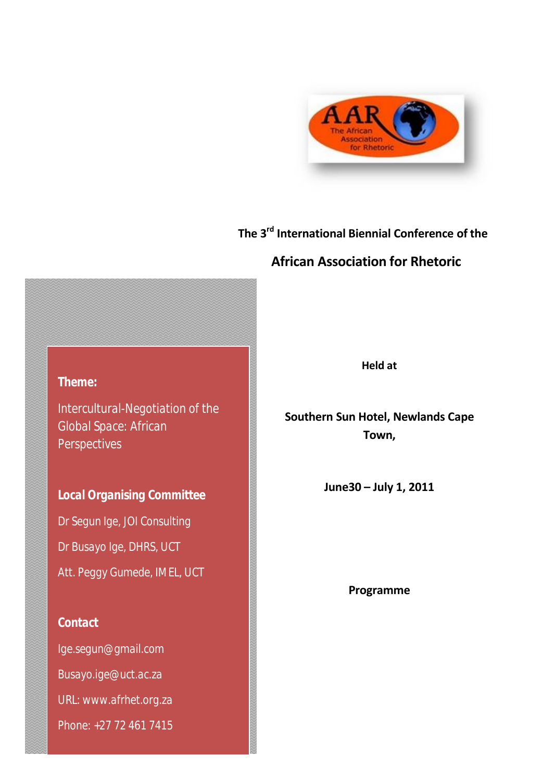

# **The 3 rd International Biennial Conference of the**

# **African Association for Rhetoric**

*Theme:*

*Intercultural-Negotiation of the Global Space: African Perspectives*

*Local Organising Committee Dr Segun Ige, JOI Consulting Dr Busayo Ige, DHRS, UCT Att. Peggy Gumede, IMEL, UCT*

*Contact*

*Ige.segun@gmail.com Busayo.ige@uct.ac.za URL: www.afrhet.org.za Phone: +27 72 461 7415* **Held at**

**Southern Sun Hotel, Newlands Cape Town,** 

**June30 – July 1, 2011**

**Programme**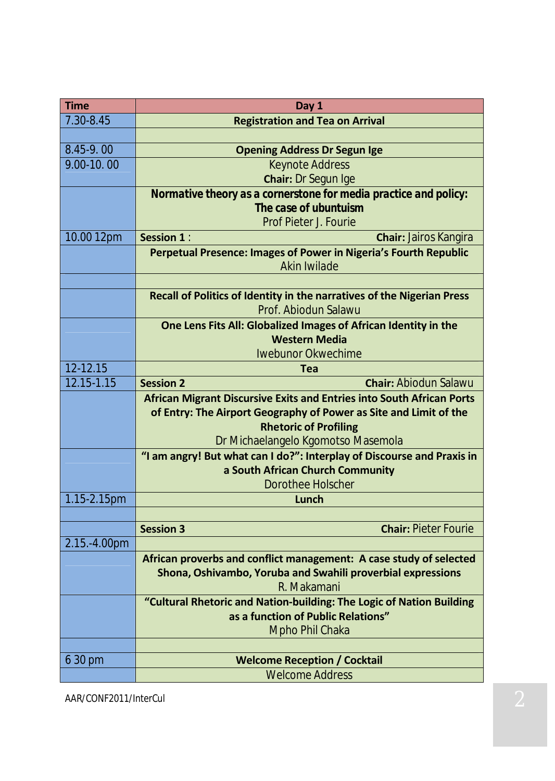| <b>Time</b>  | Day 1                                                                                          |
|--------------|------------------------------------------------------------------------------------------------|
| 7.30-8.45    | <b>Registration and Tea on Arrival</b>                                                         |
|              |                                                                                                |
| 8.45-9.00    | <b>Opening Address Dr Segun Ige</b>                                                            |
| 9.00-10.00   | <b>Keynote Address</b>                                                                         |
|              | <b>Chair: Dr Segun Ige</b>                                                                     |
|              | Normative theory as a cornerstone for media practice and policy:                               |
|              | The case of ubuntuism                                                                          |
|              | <b>Prof Pieter J. Fourie</b>                                                                   |
| 10.00 12pm   | Session 1:<br><b>Chair: Jairos Kangira</b>                                                     |
|              | Perpetual Presence: Images of Power in Nigeria's Fourth Republic<br>Akin Iwilade               |
|              |                                                                                                |
|              | Recall of Politics of Identity in the narratives of the Nigerian Press<br>Prof. Abiodun Salawu |
|              | One Lens Fits All: Globalized Images of African Identity in the                                |
|              | <b>Western Media</b>                                                                           |
|              | Iwebunor Okwechime                                                                             |
| 12-12.15     | Tea                                                                                            |
| 12.15-1.15   | <b>Chair: Abiodun Salawu</b><br><b>Session 2</b>                                               |
|              | <b>African Migrant Discursive Exits and Entries into South African Ports</b>                   |
|              | of Entry: The Airport Geography of Power as Site and Limit of the                              |
|              | <b>Rhetoric of Profiling</b>                                                                   |
|              | Dr Michaelangelo Kgomotso Masemola                                                             |
|              | "I am angry! But what can I do?": Interplay of Discourse and Praxis in                         |
|              | a South African Church Community                                                               |
|              | <b>Dorothee Holscher</b>                                                                       |
| 1.15-2.15pm  | Lunch                                                                                          |
|              | <b>Chair: Pieter Fourie</b><br><b>Session 3</b>                                                |
| 2.15.-4.00pm |                                                                                                |
|              | African proverbs and conflict management: A case study of selected                             |
|              | Shona, Oshivambo, Yoruba and Swahili proverbial expressions                                    |
|              | R. Makamani                                                                                    |
|              | "Cultural Rhetoric and Nation-building: The Logic of Nation Building                           |
|              | as a function of Public Relations"                                                             |
|              | Mpho Phil Chaka                                                                                |
|              |                                                                                                |
| 6 30 pm      | <b>Welcome Reception / Cocktail</b>                                                            |
|              | <b>Welcome Address</b>                                                                         |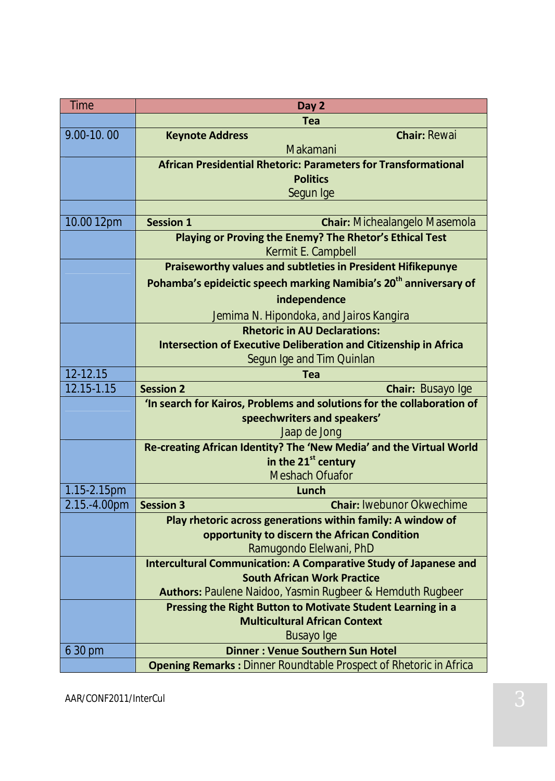| <b>Time</b>  | Day 2                                                                                                       |
|--------------|-------------------------------------------------------------------------------------------------------------|
|              | <b>Tea</b>                                                                                                  |
| 9.00-10.00   | <b>Chair: Rewai</b><br><b>Keynote Address</b>                                                               |
|              | Makamani                                                                                                    |
|              | <b>African Presidential Rhetoric: Parameters for Transformational</b>                                       |
|              | <b>Politics</b>                                                                                             |
|              | Segun Ige                                                                                                   |
|              |                                                                                                             |
| 10.00 12pm   | <b>Session 1</b><br><b>Chair:</b> Michealangelo Masemola                                                    |
|              | Playing or Proving the Enemy? The Rhetor's Ethical Test                                                     |
|              | Kermit E. Campbell                                                                                          |
|              | <b>Praiseworthy values and subtleties in President Hifikepunye</b>                                          |
|              | Pohamba's epideictic speech marking Namibia's 20 <sup>th</sup> anniversary of                               |
|              | independence                                                                                                |
|              | Jemima N. Hipondoka, and Jairos Kangira                                                                     |
|              | <b>Rhetoric in AU Declarations:</b>                                                                         |
|              | <b>Intersection of Executive Deliberation and Citizenship in Africa</b>                                     |
|              | Segun Ige and Tim Quinlan                                                                                   |
| 12-12.15     | <b>Tea</b>                                                                                                  |
| 12.15-1.15   | <b>Session 2</b><br><b>Chair: Busayo Ige</b>                                                                |
|              | 'In search for Kairos, Problems and solutions for the collaboration of                                      |
|              | speechwriters and speakers'                                                                                 |
|              | Jaap de Jong                                                                                                |
|              | Re-creating African Identity? The 'New Media' and the Virtual World                                         |
|              | in the 21 <sup>st</sup> century                                                                             |
|              | <b>Meshach Ofuafor</b>                                                                                      |
| 1.15-2.15pm  | Lunch<br><b>Chair: Iwebunor Okwechime</b><br><b>Session 3</b>                                               |
| 2.15.-4.00pm |                                                                                                             |
|              | Play rhetoric across generations within family: A window of<br>opportunity to discern the African Condition |
|              | Ramugondo Elelwani, PhD                                                                                     |
|              | <b>Intercultural Communication: A Comparative Study of Japanese and</b>                                     |
|              | <b>South African Work Practice</b>                                                                          |
|              | <b>Authors:</b> Paulene Naidoo, Yasmin Rugbeer & Hemduth Rugbeer                                            |
|              | Pressing the Right Button to Motivate Student Learning in a                                                 |
|              | <b>Multicultural African Context</b>                                                                        |
|              | Busayo Ige                                                                                                  |
| 6 30 pm      | <b>Dinner: Venue Southern Sun Hotel</b>                                                                     |
|              | <b>Opening Remarks:</b> Dinner Roundtable <i>Prospect of Rhetoric in Africa</i>                             |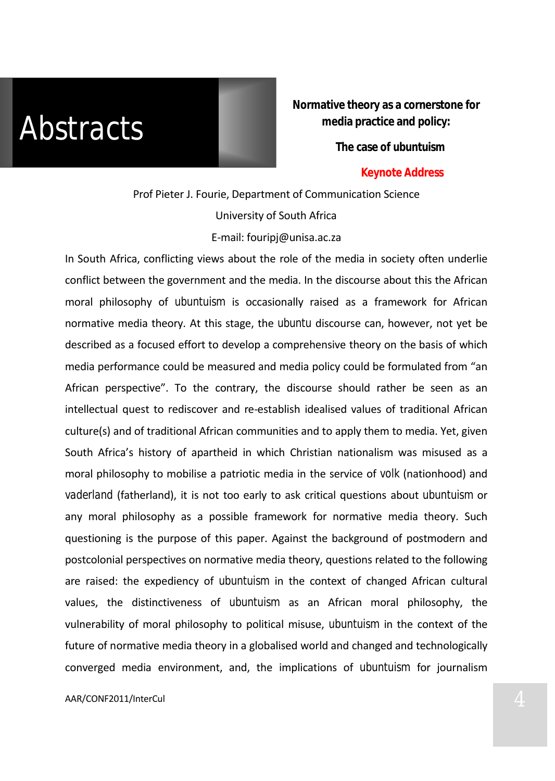*Abstracts*

**Normative theory as a cornerstone for media practice and policy:** 

**The case of** *ubuntuism*

### **Keynote Address**

# Prof Pieter J. Fourie, Department of Communication Science University of South Africa E-mail: fouripj@unisa.ac.za

In South Africa, conflicting views about the role of the media in society often underlie conflict between the government and the media. In the discourse about this the African moral philosophy of *ubuntuism* is occasionally raised as a framework for African normative media theory. At this stage, the *ubuntu* discourse can, however, not yet be described as a focused effort to develop a comprehensive theory on the basis of which media performance could be measured and media policy could be formulated from "an African perspective". To the contrary, the discourse should rather be seen as an intellectual quest to rediscover and re-establish idealised values of traditional African culture(s) and of traditional African communities and to apply them to media. Yet, given South Africa's history of apartheid in which Christian nationalism was misused as a moral philosophy to mobilise a patriotic media in the service of *volk* (nationhood) and *vaderland* (fatherland), it is not too early to ask critical questions about *ubuntuism* or any moral philosophy as a possible framework for normative media theory. Such questioning is the purpose of this paper. Against the background of postmodern and postcolonial perspectives on normative media theory, questions related to the following are raised: the expediency of *ubuntuism* in the context of changed African cultural values, the distinctiveness of *ubuntuism* as an African moral philosophy, the vulnerability of moral philosophy to political misuse, *ubuntuism* in the context of the future of normative media theory in a globalised world and changed and technologically converged media environment, and, the implications of *ubuntuism* for journalism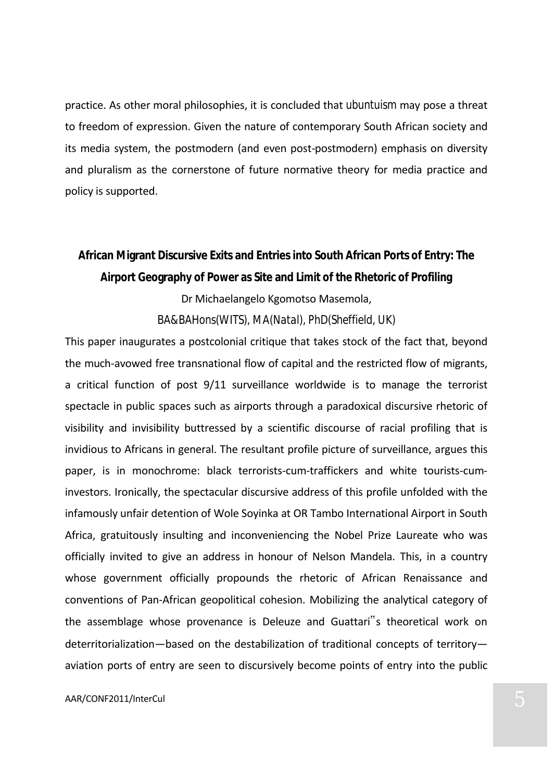practice. As other moral philosophies, it is concluded that *ubuntuism* may pose a threat to freedom of expression. Given the nature of contemporary South African society and its media system, the postmodern (and even post-postmodern) emphasis on diversity and pluralism as the cornerstone of future normative theory for media practice and policy is supported.

# **African Migrant Discursive Exits and Entries into South African Ports of Entry: The Airport Geography of Power as Site and Limit of the Rhetoric of Profiling** Dr Michaelangelo Kgomotso Masemola, *BA&BAHons(WITS), MA(Natal), PhD(Sheffield, UK)*

This paper inaugurates a postcolonial critique that takes stock of the fact that, beyond the much-avowed free transnational flow of capital and the restricted flow of migrants, a critical function of post 9/11 surveillance worldwide is to manage the terrorist spectacle in public spaces such as airports through a paradoxical discursive rhetoric of visibility and invisibility buttressed by a scientific discourse of racial profiling that is invidious to Africans in general. The resultant profile picture of surveillance, argues this paper, is in monochrome: black terrorists-cum-traffickers and white tourists-cuminvestors. Ironically, the spectacular discursive address of this profile unfolded with the infamously unfair detention of Wole Soyinka at OR Tambo International Airport in South Africa, gratuitously insulting and inconveniencing the Nobel Prize Laureate who was officially invited to give an address in honour of Nelson Mandela. This, in a country whose government officially propounds the rhetoric of African Renaissance and conventions of Pan-African geopolitical cohesion. Mobilizing the analytical category of the assemblage whose provenance is Deleuze and Guattari"s theoretical work on deterritorialization—based on the destabilization of traditional concepts of territory aviation ports of entry are seen to discursively become points of entry into the public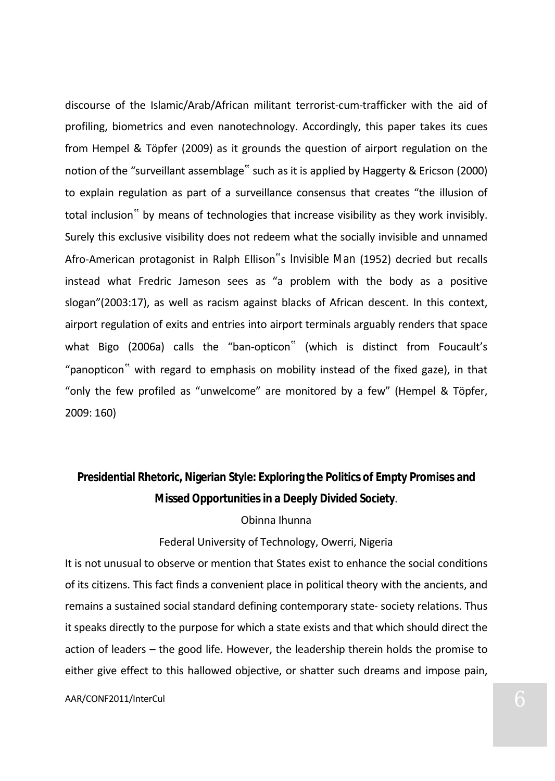discourse of the Islamic/Arab/African militant terrorist-cum-trafficker with the aid of profiling, biometrics and even nanotechnology. Accordingly, this paper takes its cues from Hempel & Töpfer (2009) as it grounds the question of airport regulation on the notion of the "surveillant assemblage" such as it is applied by Haggerty & Ericson (2000) to explain regulation as part of a surveillance consensus that creates "the illusion of total inclusion" by means of technologies that increase visibility as they work invisibly. Surely this exclusive visibility does not redeem what the socially invisible and unnamed Afro-American protagonist in Ralph Ellison"s *Invisible Man* (1952) decried but recalls instead what Fredric Jameson sees as "a problem with the body as a positive slogan"(2003:17), as well as racism against blacks of African descent. In this context, airport regulation of exits and entries into airport terminals arguably renders that space what Bigo (2006a) calls the "ban-opticon" (which is distinct from Foucault's "panopticon" with regard to emphasis on mobility instead of the fixed gaze), in that "only the few profiled as "unwelcome" are monitored by a few" (Hempel & Töpfer, 2009: 160)

**Presidential Rhetoric, Nigerian Style: Exploring the Politics of Empty Promises and Missed Opportunities in a Deeply Divided Society**.

### Obinna Ihunna

## Federal University of Technology, Owerri, Nigeria

It is not unusual to observe or mention that States exist to enhance the social conditions of its citizens. This fact finds a convenient place in political theory with the ancients, and remains a sustained social standard defining contemporary state- society relations. Thus it speaks directly to the purpose for which a state exists and that which should direct the action of leaders – the good life. However, the leadership therein holds the promise to either give effect to this hallowed objective, or shatter such dreams and impose pain,

### AAR/CONF2011/InterCul 6 and 2012 12:00 and 2013 12:00 and 2013 12:00 and 2013 12:00 and 2014 12:00 and 2014 12:00 and 2014 12:00 and 2014 12:00 and 2014 12:00 and 2014 12:00 and 2014 12:00 and 2014 12:00 and 2014 12:00 and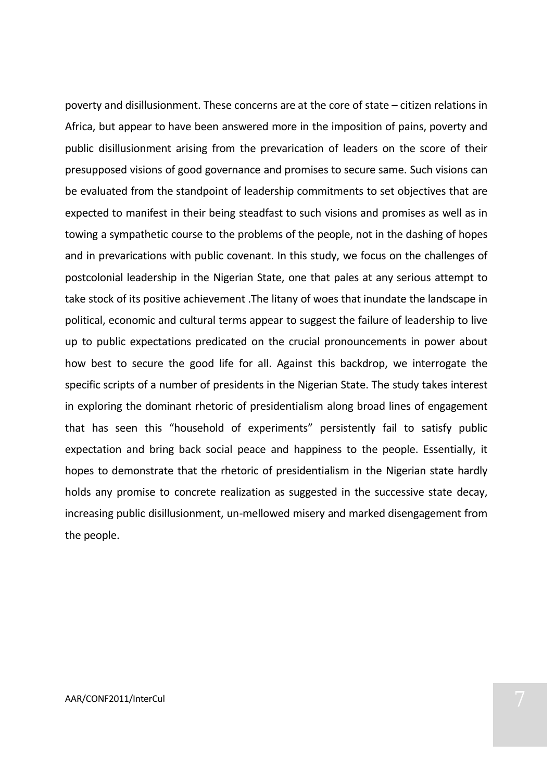poverty and disillusionment. These concerns are at the core of state – citizen relations in Africa, but appear to have been answered more in the imposition of pains, poverty and public disillusionment arising from the prevarication of leaders on the score of their presupposed visions of good governance and promises to secure same. Such visions can be evaluated from the standpoint of leadership commitments to set objectives that are expected to manifest in their being steadfast to such visions and promises as well as in towing a sympathetic course to the problems of the people, not in the dashing of hopes and in prevarications with public covenant. In this study, we focus on the challenges of postcolonial leadership in the Nigerian State, one that pales at any serious attempt to take stock of its positive achievement .The litany of woes that inundate the landscape in political, economic and cultural terms appear to suggest the failure of leadership to live up to public expectations predicated on the crucial pronouncements in power about how best to secure the good life for all. Against this backdrop, we interrogate the specific scripts of a number of presidents in the Nigerian State. The study takes interest in exploring the dominant rhetoric of presidentialism along broad lines of engagement that has seen this "household of experiments" persistently fail to satisfy public expectation and bring back social peace and happiness to the people. Essentially, it hopes to demonstrate that the rhetoric of presidentialism in the Nigerian state hardly holds any promise to concrete realization as suggested in the successive state decay, increasing public disillusionment, un-mellowed misery and marked disengagement from the people.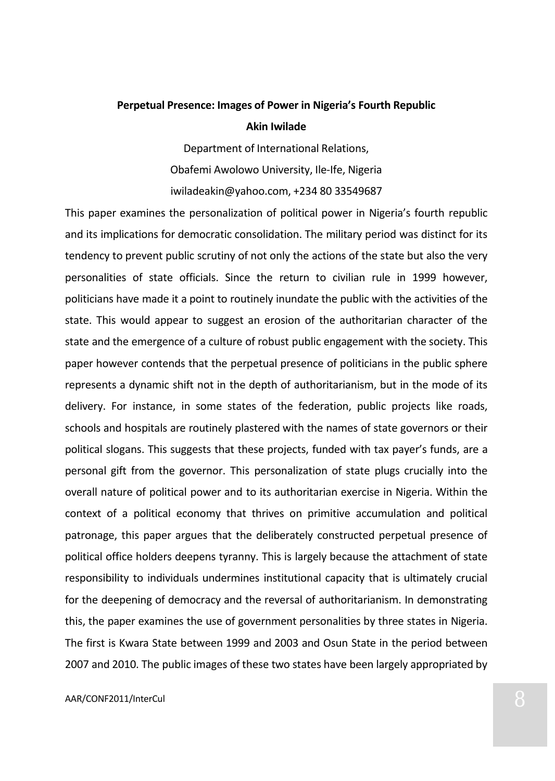# **Perpetual Presence: Images of Power in Nigeria's Fourth Republic Akin Iwilade**

Department of International Relations, Obafemi Awolowo University, Ile-Ife, Nigeria iwiladeakin@yahoo.com, +234 80 33549687

This paper examines the personalization of political power in Nigeria's fourth republic and its implications for democratic consolidation. The military period was distinct for its tendency to prevent public scrutiny of not only the actions of the state but also the very personalities of state officials. Since the return to civilian rule in 1999 however, politicians have made it a point to routinely inundate the public with the activities of the state. This would appear to suggest an erosion of the authoritarian character of the state and the emergence of a culture of robust public engagement with the society. This paper however contends that the perpetual presence of politicians in the public sphere represents a dynamic shift not in the depth of authoritarianism, but in the mode of its delivery. For instance, in some states of the federation, public projects like roads, schools and hospitals are routinely plastered with the names of state governors or their political slogans. This suggests that these projects, funded with tax payer's funds, are a personal gift from the governor. This personalization of state plugs crucially into the overall nature of political power and to its authoritarian exercise in Nigeria. Within the context of a political economy that thrives on primitive accumulation and political patronage, this paper argues that the deliberately constructed perpetual presence of political office holders deepens tyranny. This is largely because the attachment of state responsibility to individuals undermines institutional capacity that is ultimately crucial for the deepening of democracy and the reversal of authoritarianism. In demonstrating this, the paper examines the use of government personalities by three states in Nigeria. The first is Kwara State between 1999 and 2003 and Osun State in the period between 2007 and 2010. The public images of these two states have been largely appropriated by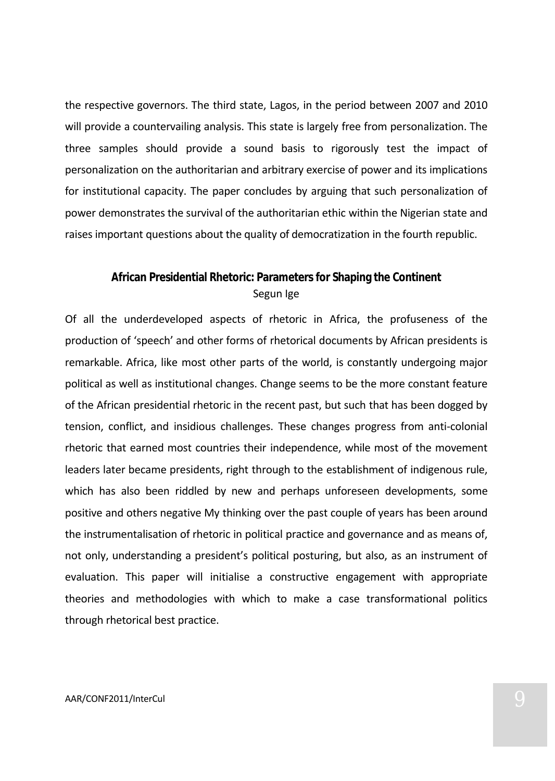the respective governors. The third state, Lagos, in the period between 2007 and 2010 will provide a countervailing analysis. This state is largely free from personalization. The three samples should provide a sound basis to rigorously test the impact of personalization on the authoritarian and arbitrary exercise of power and its implications for institutional capacity. The paper concludes by arguing that such personalization of power demonstrates the survival of the authoritarian ethic within the Nigerian state and raises important questions about the quality of democratization in the fourth republic.

# **African Presidential Rhetoric: Parameters for Shaping the Continent** Segun Ige

Of all the underdeveloped aspects of rhetoric in Africa, the profuseness of the production of 'speech' and other forms of rhetorical documents by African presidents is remarkable. Africa, like most other parts of the world, is constantly undergoing major political as well as institutional changes. Change seems to be the more constant feature of the African presidential rhetoric in the recent past, but such that has been dogged by tension, conflict, and insidious challenges. These changes progress from anti-colonial rhetoric that earned most countries their independence, while most of the movement leaders later became presidents, right through to the establishment of indigenous rule, which has also been riddled by new and perhaps unforeseen developments, some positive and others negative My thinking over the past couple of years has been around the instrumentalisation of rhetoric in political practice and governance and as means of, not only, understanding a president's political posturing, but also, as an instrument of evaluation. This paper will initialise a constructive engagement with appropriate theories and methodologies with which to make a case transformational politics through rhetorical best practice.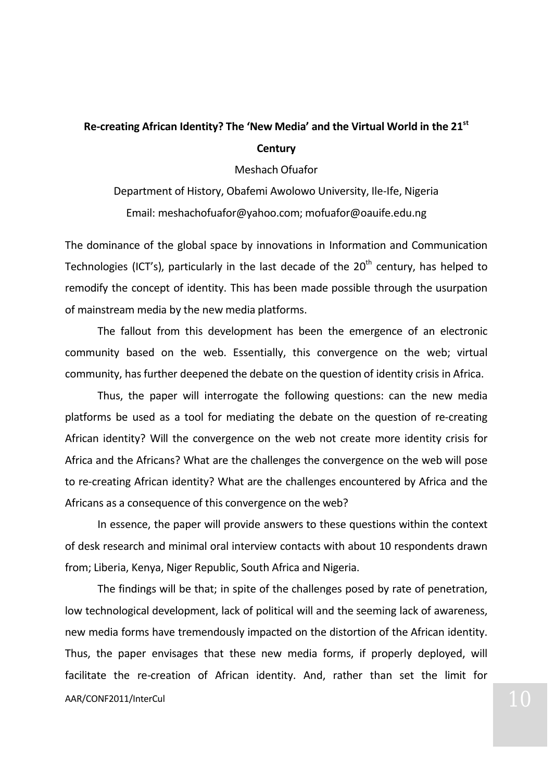# **Re-creating African Identity? The 'New Media' and the Virtual World in the 21st Century**

Meshach Ofuafor

Department of History, Obafemi Awolowo University, Ile-Ife, Nigeria Email: meshachofuafor@yahoo.com; mofuafor@oauife.edu.ng

The dominance of the global space by innovations in Information and Communication Technologies (ICT's), particularly in the last decade of the  $20<sup>th</sup>$  century, has helped to remodify the concept of identity. This has been made possible through the usurpation of mainstream media by the new media platforms.

The fallout from this development has been the emergence of an electronic community based on the web. Essentially, this convergence on the web; virtual community, has further deepened the debate on the question of identity crisis in Africa.

Thus, the paper will interrogate the following questions: can the new media platforms be used as a tool for mediating the debate on the question of re-creating African identity? Will the convergence on the web not create more identity crisis for Africa and the Africans? What are the challenges the convergence on the web will pose to re-creating African identity? What are the challenges encountered by Africa and the Africans as a consequence of this convergence on the web?

In essence, the paper will provide answers to these questions within the context of desk research and minimal oral interview contacts with about 10 respondents drawn from; Liberia, Kenya, Niger Republic, South Africa and Nigeria.

AAR/CONF2011/InterCul The findings will be that; in spite of the challenges posed by rate of penetration, low technological development, lack of political will and the seeming lack of awareness, new media forms have tremendously impacted on the distortion of the African identity. Thus, the paper envisages that these new media forms, if properly deployed, will facilitate the re-creation of African identity. And, rather than set the limit for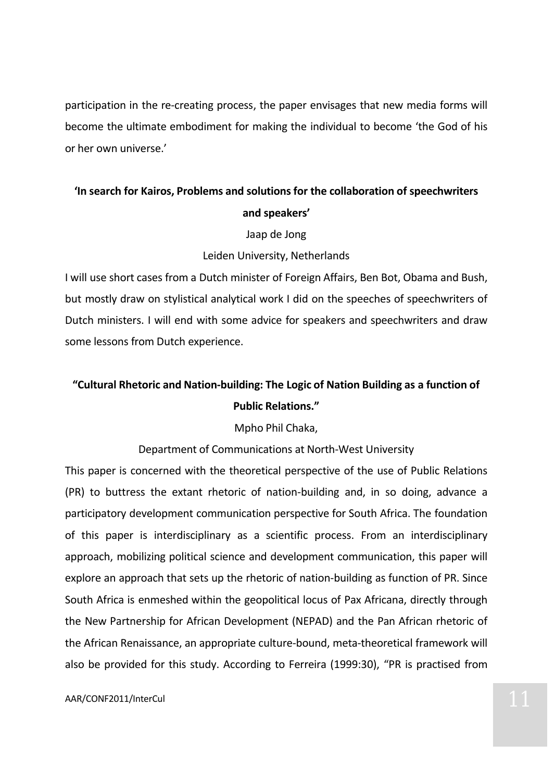participation in the re-creating process, the paper envisages that new media forms will become the ultimate embodiment for making the individual to become 'the God of his or her own universe.'

# **'In search for Kairos, Problems and solutions for the collaboration of speechwriters and speakers'**

### Jaap de Jong

### Leiden University, Netherlands

I will use short cases from a Dutch minister of Foreign Affairs, Ben Bot, Obama and Bush, but mostly draw on stylistical analytical work I did on the speeches of speechwriters of Dutch ministers. I will end with some advice for speakers and speechwriters and draw some lessons from Dutch experience.

# **"Cultural Rhetoric and Nation-building: The Logic of Nation Building as a function of Public Relations."**

## Mpho Phil Chaka,

## Department of Communications at North-West University

This paper is concerned with the theoretical perspective of the use of Public Relations (PR) to buttress the extant rhetoric of nation-building and, in so doing, advance a participatory development communication perspective for South Africa. The foundation of this paper is interdisciplinary as a scientific process. From an interdisciplinary approach, mobilizing political science and development communication, this paper will explore an approach that sets up the rhetoric of nation-building as function of PR. Since South Africa is enmeshed within the geopolitical locus of Pax Africana, directly through the New Partnership for African Development (NEPAD) and the Pan African rhetoric of the African Renaissance, an appropriate culture-bound, meta-theoretical framework will also be provided for this study. According to Ferreira (1999:30), "PR is practised from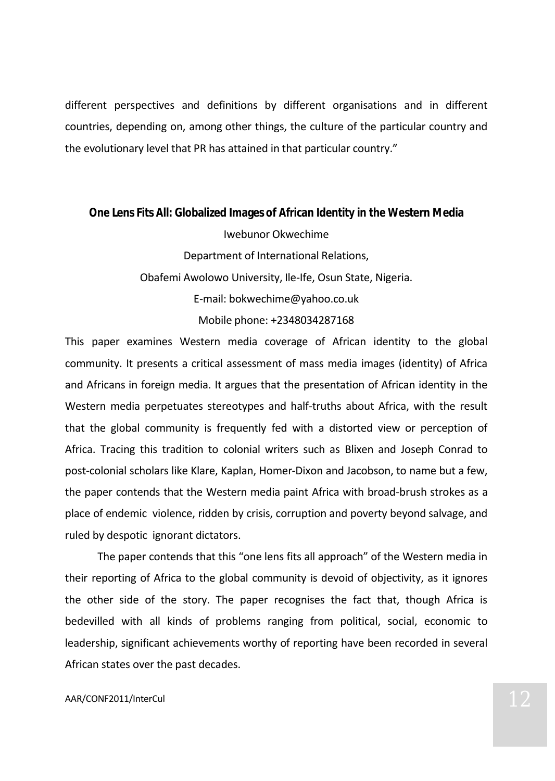different perspectives and definitions by different organisations and in different countries, depending on, among other things, the culture of the particular country and the evolutionary level that PR has attained in that particular country."

**One Lens Fits All: Globalized Images of African Identity in the Western Media** Iwebunor Okwechime Department of International Relations, Obafemi Awolowo University, Ile-Ife, Osun State, Nigeria. E-mail: bokwechime@yahoo.co.uk Mobile phone: +2348034287168

This paper examines Western media coverage of African identity to the global community. It presents a critical assessment of mass media images (identity) of Africa and Africans in foreign media. It argues that the presentation of African identity in the Western media perpetuates stereotypes and half-truths about Africa, with the result that the global community is frequently fed with a distorted view or perception of Africa. Tracing this tradition to colonial writers such as Blixen and Joseph Conrad to post-colonial scholars like Klare, Kaplan, Homer-Dixon and Jacobson, to name but a few, the paper contends that the Western media paint Africa with broad-brush strokes as a place of endemic violence, ridden by crisis, corruption and poverty beyond salvage, and ruled by despotic ignorant dictators.

The paper contends that this "one lens fits all approach" of the Western media in their reporting of Africa to the global community is devoid of objectivity, as it ignores the other side of the story. The paper recognises the fact that, though Africa is bedevilled with all kinds of problems ranging from political, social, economic to leadership, significant achievements worthy of reporting have been recorded in several African states over the past decades.

# $\mathsf{AAR/CONF2011/InterCul}$  12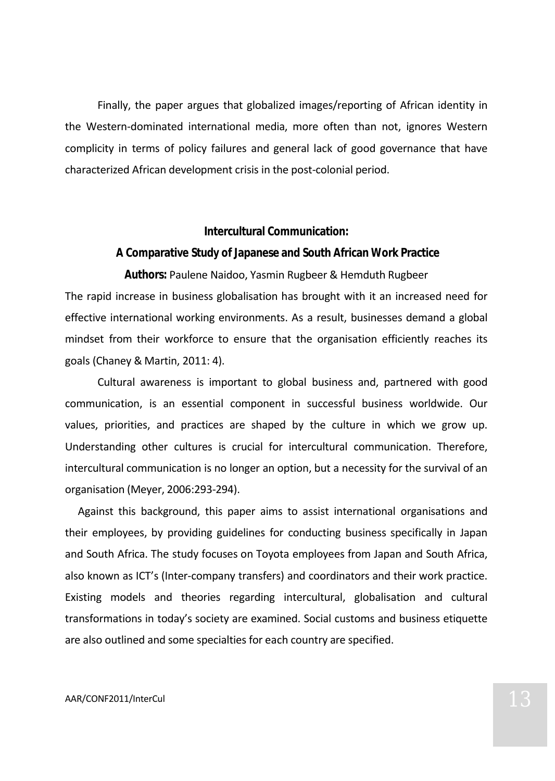Finally, the paper argues that globalized images/reporting of African identity in the Western-dominated international media, more often than not, ignores Western complicity in terms of policy failures and general lack of good governance that have characterized African development crisis in the post-colonial period.

**Intercultural Communication:**

**A Comparative Study of Japanese and South African Work Practice**

**Authors:** Paulene Naidoo, Yasmin Rugbeer & Hemduth Rugbeer The rapid increase in business globalisation has brought with it an increased need for effective international working environments. As a result, businesses demand a global mindset from their workforce to ensure that the organisation efficiently reaches its goals (Chaney & Martin, 2011: 4).

Cultural awareness is important to global business and, partnered with good communication, is an essential component in successful business worldwide. Our values, priorities, and practices are shaped by the culture in which we grow up. Understanding other cultures is crucial for intercultural communication. Therefore, intercultural communication is no longer an option, but a necessity for the survival of an organisation (Meyer, 2006:293-294).

Against this background, this paper aims to assist international organisations and their employees, by providing guidelines for conducting business specifically in Japan and South Africa. The study focuses on Toyota employees from Japan and South Africa, also known as ICT's (Inter-company transfers) and coordinators and their work practice. Existing models and theories regarding intercultural, globalisation and cultural transformations in today's society are examined. Social customs and business etiquette are also outlined and some specialties for each country are specified.

# $\Delta$ AAR/CONF2011/InterCul 13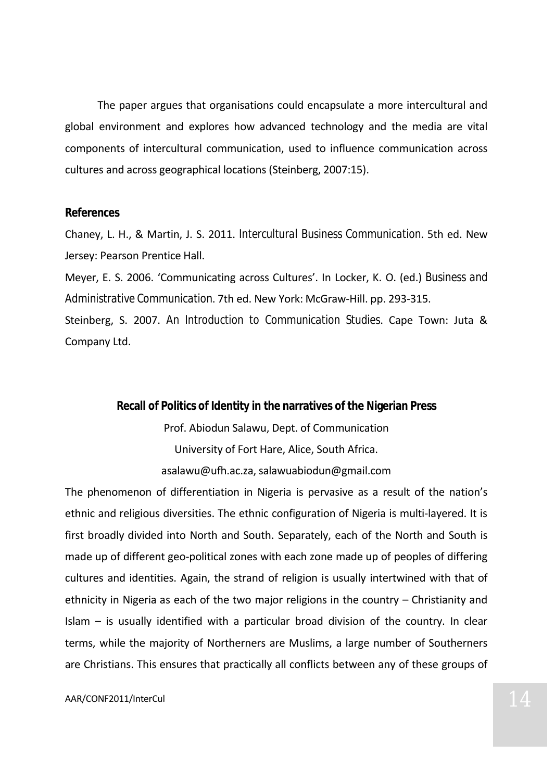The paper argues that organisations could encapsulate a more intercultural and global environment and explores how advanced technology and the media are vital components of intercultural communication, used to influence communication across cultures and across geographical locations (Steinberg, 2007:15).

#### **References**

Chaney, L. H., & Martin, J. S. 2011. *Intercultural Business Communication*. 5th ed. New Jersey: Pearson Prentice Hall.

Meyer, E. S. 2006. 'Communicating across Cultures'. In Locker, K. O. (ed.) *Business and Administrative Communication*. 7th ed. New York: McGraw-Hill. pp. 293-315.

Steinberg, S. 2007. *An Introduction to Communication Studies*. Cape Town: Juta & Company Ltd.

> **Recall of Politics of Identity in the narratives of the Nigerian Press** Prof. Abiodun Salawu, Dept. of Communication University of Fort Hare, Alice, South Africa. asalawu@ufh.ac.za, salawuabiodun@gmail.com

The phenomenon of differentiation in Nigeria is pervasive as a result of the nation's ethnic and religious diversities. The ethnic configuration of Nigeria is multi-layered. It is first broadly divided into North and South. Separately, each of the North and South is made up of different geo-political zones with each zone made up of peoples of differing cultures and identities. Again, the strand of religion is usually intertwined with that of ethnicity in Nigeria as each of the two major religions in the country – Christianity and Islam – is usually identified with a particular broad division of the country. In clear terms, while the majority of Northerners are Muslims, a large number of Southerners are Christians. This ensures that practically all conflicts between any of these groups of

# $\mathsf{AAR/CONF2011/InterCul} \quad \mathsf{14}$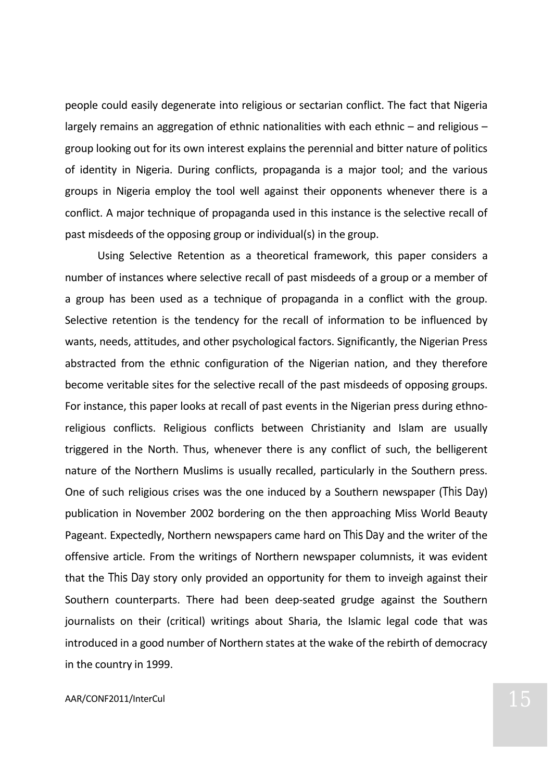people could easily degenerate into religious or sectarian conflict. The fact that Nigeria largely remains an aggregation of ethnic nationalities with each ethnic – and religious – group looking out for its own interest explains the perennial and bitter nature of politics of identity in Nigeria. During conflicts, propaganda is a major tool; and the various groups in Nigeria employ the tool well against their opponents whenever there is a conflict. A major technique of propaganda used in this instance is the selective recall of past misdeeds of the opposing group or individual(s) in the group.

Using Selective Retention as a theoretical framework, this paper considers a number of instances where selective recall of past misdeeds of a group or a member of a group has been used as a technique of propaganda in a conflict with the group. Selective retention is the tendency for the recall of information to be influenced by wants, needs, attitudes, and other psychological factors. Significantly, the Nigerian Press abstracted from the ethnic configuration of the Nigerian nation, and they therefore become veritable sites for the selective recall of the past misdeeds of opposing groups. For instance, this paper looks at recall of past events in the Nigerian press during ethnoreligious conflicts. Religious conflicts between Christianity and Islam are usually triggered in the North. Thus, whenever there is any conflict of such, the belligerent nature of the Northern Muslims is usually recalled, particularly in the Southern press. One of such religious crises was the one induced by a Southern newspaper (*This Day*) publication in November 2002 bordering on the then approaching Miss World Beauty Pageant. Expectedly, Northern newspapers came hard on *This Day* and the writer of the offensive article. From the writings of Northern newspaper columnists, it was evident that the *This Day* story only provided an opportunity for them to inveigh against their Southern counterparts. There had been deep-seated grudge against the Southern journalists on their (critical) writings about Sharia, the Islamic legal code that was introduced in a good number of Northern states at the wake of the rebirth of democracy in the country in 1999.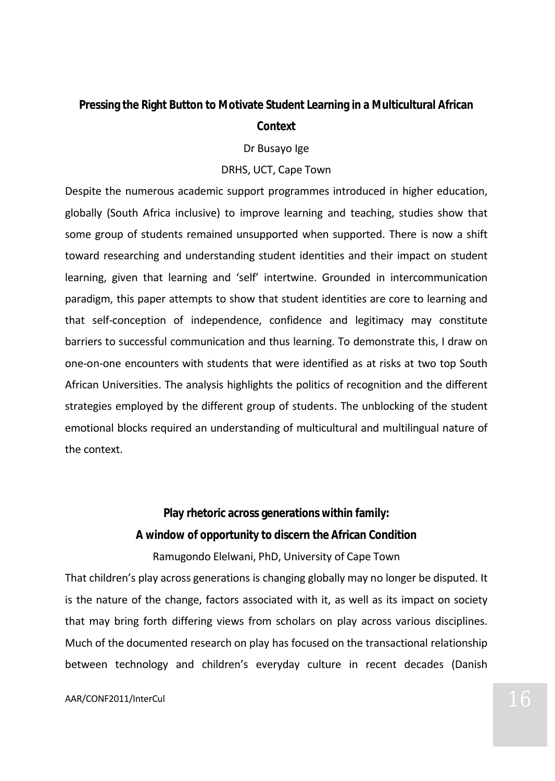# **Pressing the Right Button to Motivate Student Learning in a Multicultural African**

# **Context**

## Dr Busayo Ige

## DRHS, UCT, Cape Town

Despite the numerous academic support programmes introduced in higher education, globally (South Africa inclusive) to improve learning and teaching, studies show that some group of students remained unsupported when supported. There is now a shift toward researching and understanding student identities and their impact on student learning, given that learning and 'self' intertwine. Grounded in intercommunication paradigm, this paper attempts to show that student identities are core to learning and that self-conception of independence, confidence and legitimacy may constitute barriers to successful communication and thus learning. To demonstrate this, I draw on one-on-one encounters with students that were identified as at risks at two top South African Universities. The analysis highlights the politics of recognition and the different strategies employed by the different group of students. The unblocking of the student emotional blocks required an understanding of multicultural and multilingual nature of the context.

> **Play rhetoric across generations within family: A window of opportunity to discern the African Condition** Ramugondo Elelwani, PhD, University of Cape Town

That children's play across generations is changing globally may no longer be disputed. It is the nature of the change, factors associated with it, as well as its impact on society that may bring forth differing views from scholars on play across various disciplines. Much of the documented research on play has focused on the transactional relationship between technology and children's everyday culture in recent decades (Danish

# $\Delta$ AAR/CONF2011/InterCul  $16$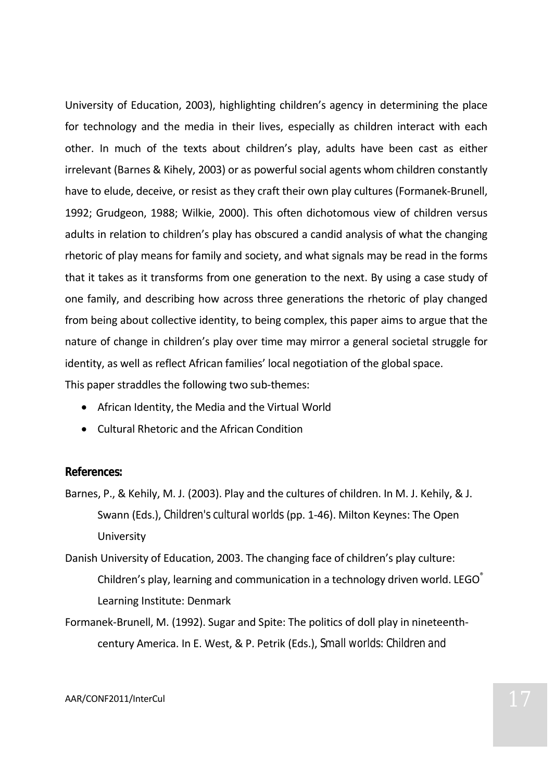University of Education, 2003), highlighting children's agency in determining the place for technology and the media in their lives, especially as children interact with each other. In much of the texts about children's play, adults have been cast as either irrelevant (Barnes & Kihely, 2003) or as powerful social agents whom children constantly have to elude, deceive, or resist as they craft their own play cultures (Formanek-Brunell, 1992; Grudgeon, 1988; Wilkie, 2000). This often dichotomous view of children versus adults in relation to children's play has obscured a candid analysis of what the changing rhetoric of play means for family and society, and what signals may be read in the forms that it takes as it transforms from one generation to the next. By using a case study of one family, and describing how across three generations the rhetoric of play changed from being about collective identity, to being complex, this paper aims to argue that the nature of change in children's play over time may mirror a general societal struggle for identity, as well as reflect African families' local negotiation of the global space.

This paper straddles the following two sub-themes:

- African Identity, the Media and the Virtual World
- Cultural Rhetoric and the African Condition

#### **References:**

Barnes, P., & Kehily, M. J. (2003). Play and the cultures of children. In M. J. Kehily, & J. Swann (Eds.), *Children's cultural worlds* (pp. 1-46). Milton Keynes: The Open University

Danish University of Education, 2003. The changing face of children's play culture: Children's play, learning and communication in a technology driven world. LEGO<sup>\*</sup> Learning Institute: Denmark

Formanek-Brunell, M. (1992). Sugar and Spite: The politics of doll play in nineteenthcentury America. In E. West, & P. Petrik (Eds.), *Small worlds: Children and*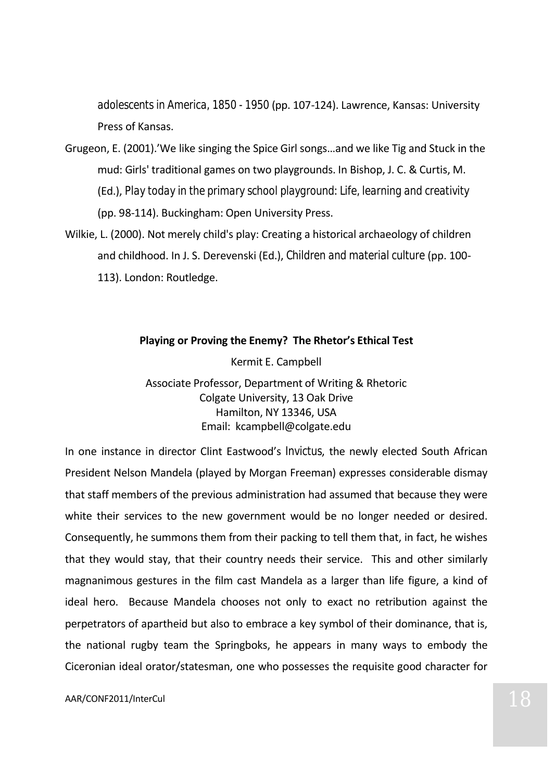*adolescents in America, 1850 - 1950* (pp. 107-124). Lawrence, Kansas: University Press of Kansas.

- Grugeon, E. (2001).'We like singing the Spice Girl songs…and we like Tig and Stuck in the mud: Girls' traditional games on two playgrounds. In Bishop, J. C. & Curtis, M. (Ed.), *Play today in the primary school playground: Life, learning and creativity* (pp. 98-114). Buckingham: Open University Press.
- Wilkie, L. (2000). Not merely child's play: Creating a historical archaeology of children and childhood. In J. S. Derevenski (Ed.), *Children and material culture* (pp. 100- 113). London: Routledge.

## **Playing or Proving the Enemy? The Rhetor's Ethical Test**

Kermit E. Campbell

Associate Professor, Department of Writing & Rhetoric Colgate University, 13 Oak Drive Hamilton, NY 13346, USA Email: kcampbell@colgate.edu

In one instance in director Clint Eastwood's *Invictus*, the newly elected South African President Nelson Mandela (played by Morgan Freeman) expresses considerable dismay that staff members of the previous administration had assumed that because they were white their services to the new government would be no longer needed or desired. Consequently, he summons them from their packing to tell them that, in fact, he wishes that they would stay, that their country needs their service. This and other similarly magnanimous gestures in the film cast Mandela as a larger than life figure, a kind of ideal hero. Because Mandela chooses not only to exact no retribution against the perpetrators of apartheid but also to embrace a key symbol of their dominance, that is, the national rugby team the Springboks, he appears in many ways to embody the Ciceronian ideal orator/statesman, one who possesses the requisite good character for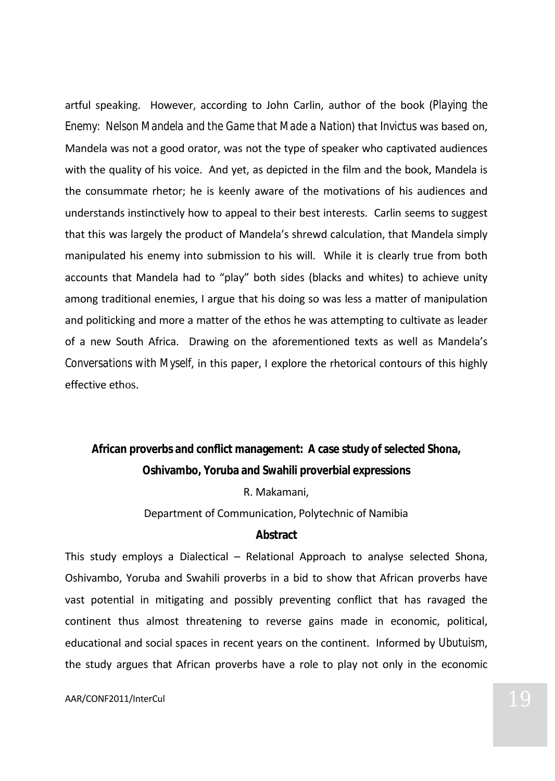artful speaking. However, according to John Carlin, author of the book (*Playing the Enemy: Nelson Mandela and the Game that Made a Nation*) that *Invictus* was based on, Mandela was not a good orator, was not the type of speaker who captivated audiences with the quality of his voice. And yet, as depicted in the film and the book, Mandela is the consummate rhetor; he is keenly aware of the motivations of his audiences and understands instinctively how to appeal to their best interests. Carlin seems to suggest that this was largely the product of Mandela's shrewd calculation, that Mandela simply manipulated his enemy into submission to his will. While it is clearly true from both accounts that Mandela had to "play" both sides (blacks and whites) to achieve unity among traditional enemies, I argue that his doing so was less a matter of manipulation and politicking and more a matter of the ethos he was attempting to cultivate as leader of a new South Africa. Drawing on the aforementioned texts as well as Mandela's *Conversations with Myself*, in this paper, I explore the rhetorical contours of this highly effective ethos.

**African proverbs and conflict management: A case study of selected Shona, Oshivambo, Yoruba and Swahili proverbial expressions** R. Makamani, Department of Communication, Polytechnic of Namibia **Abstract**

This study employs a Dialectical – Relational Approach to analyse selected Shona, Oshivambo, Yoruba and Swahili proverbs in a bid to show that African proverbs have vast potential in mitigating and possibly preventing conflict that has ravaged the continent thus almost threatening to reverse gains made in economic, political, educational and social spaces in recent years on the continent. Informed by *Ubutuism*, the study argues that African proverbs have a role to play not only in the economic

# $\mathsf{AAR/CONF2011/InterCul} \hspace{1.5cm} \mathsf{19}$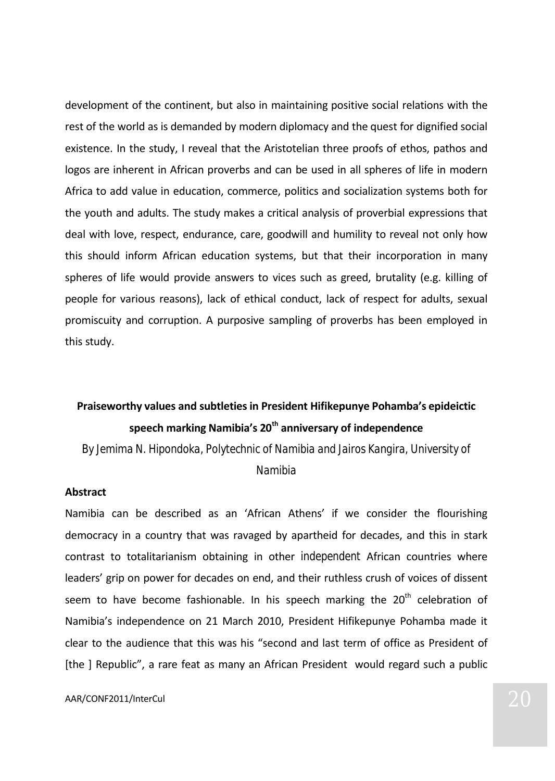development of the continent, but also in maintaining positive social relations with the rest of the world as is demanded by modern diplomacy and the quest for dignified social existence. In the study, I reveal that the Aristotelian three proofs of ethos, pathos and logos are inherent in African proverbs and can be used in all spheres of life in modern Africa to add value in education, commerce, politics and socialization systems both for the youth and adults. The study makes a critical analysis of proverbial expressions that deal with love, respect, endurance, care, goodwill and humility to reveal not only how this should inform African education systems, but that their incorporation in many spheres of life would provide answers to vices such as greed, brutality (e.g. killing of people for various reasons), lack of ethical conduct, lack of respect for adults, sexual promiscuity and corruption. A purposive sampling of proverbs has been employed in this study.

# **Praiseworthy values and subtleties in President Hifikepunye Pohamba's epideictic speech marking Namibia's 20th anniversary of independence**

*By Jemima N. Hipondoka, Polytechnic of Namibia and Jairos Kangira, University of* 

*Namibia*

### **Abstract**

Namibia can be described as an 'African Athens' if we consider the flourishing democracy in a country that was ravaged by apartheid for decades, and this in stark contrast to totalitarianism obtaining in other *independent* African countries where leaders' grip on power for decades on end, and their ruthless crush of voices of dissent seem to have become fashionable. In his speech marking the 20<sup>th</sup> celebration of Namibia's independence on 21 March 2010, President Hifikepunye Pohamba made it clear to the audience that this was his "second and last term of office as President of [the ] Republic", a rare feat as many an African President would regard such a public

 $\mathsf{AAR/CONF2011/InterCul} \quad \textcolor{red}{\mathsf{20}}$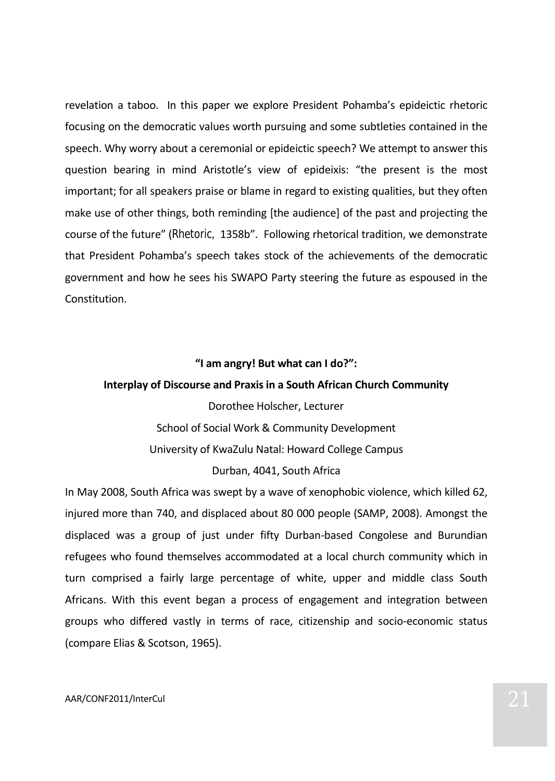revelation a taboo. In this paper we explore President Pohamba's epideictic rhetoric focusing on the democratic values worth pursuing and some subtleties contained in the speech. Why worry about a ceremonial or epideictic speech? We attempt to answer this question bearing in mind Aristotle's view of epideixis: "the present is the most important; for all speakers praise or blame in regard to existing qualities, but they often make use of other things, both reminding [the audience] of the past and projecting the course of the future" (*Rhetoric,* 1358b". Following rhetorical tradition, we demonstrate that President Pohamba's speech takes stock of the achievements of the democratic government and how he sees his SWAPO Party steering the future as espoused in the Constitution.

## **"I am angry! But what can I do?":**

## **Interplay of Discourse and Praxis in a South African Church Community**

Dorothee Holscher, Lecturer School of Social Work & Community Development University of KwaZulu Natal: Howard College Campus Durban, 4041, South Africa

In May 2008, South Africa was swept by a wave of xenophobic violence, which killed 62, injured more than 740, and displaced about 80 000 people (SAMP, 2008). Amongst the displaced was a group of just under fifty Durban-based Congolese and Burundian refugees who found themselves accommodated at a local church community which in turn comprised a fairly large percentage of white, upper and middle class South Africans. With this event began a process of engagement and integration between groups who differed vastly in terms of race, citizenship and socio-economic status (compare Elias & Scotson, 1965).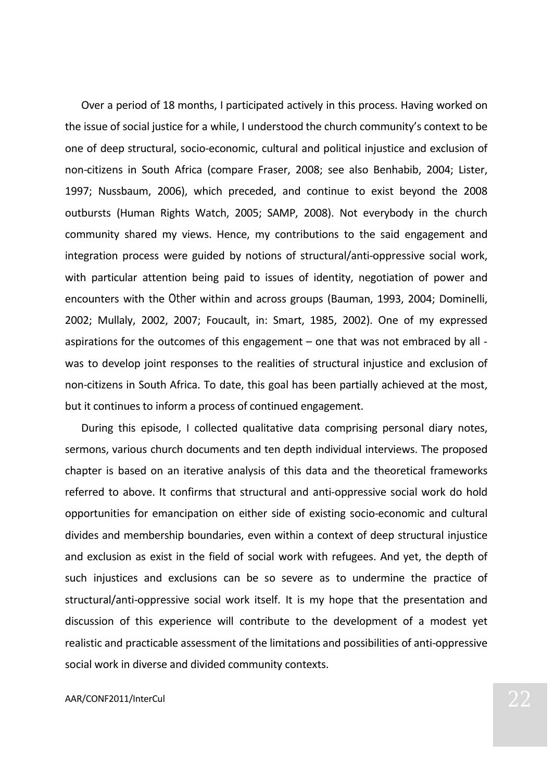Over a period of 18 months, I participated actively in this process. Having worked on the issue of social justice for a while, I understood the church community's context to be one of deep structural, socio-economic, cultural and political injustice and exclusion of non-citizens in South Africa (compare Fraser, 2008; see also Benhabib, 2004; Lister, 1997; Nussbaum, 2006), which preceded, and continue to exist beyond the 2008 outbursts (Human Rights Watch, 2005; SAMP, 2008). Not everybody in the church community shared my views. Hence, my contributions to the said engagement and integration process were guided by notions of structural/anti-oppressive social work, with particular attention being paid to issues of identity, negotiation of power and encounters with the *Other* within and across groups (Bauman, 1993, 2004; Dominelli, 2002; Mullaly, 2002, 2007; Foucault, in: Smart, 1985, 2002). One of my expressed aspirations for the outcomes of this engagement – one that was not embraced by all was to develop joint responses to the realities of structural injustice and exclusion of non-citizens in South Africa. To date, this goal has been partially achieved at the most, but it continues to inform a process of continued engagement.

During this episode, I collected qualitative data comprising personal diary notes, sermons, various church documents and ten depth individual interviews. The proposed chapter is based on an iterative analysis of this data and the theoretical frameworks referred to above. It confirms that structural and anti-oppressive social work do hold opportunities for emancipation on either side of existing socio-economic and cultural divides and membership boundaries, even within a context of deep structural injustice and exclusion as exist in the field of social work with refugees. And yet, the depth of such injustices and exclusions can be so severe as to undermine the practice of structural/anti-oppressive social work itself. It is my hope that the presentation and discussion of this experience will contribute to the development of a modest yet realistic and practicable assessment of the limitations and possibilities of anti-oppressive social work in diverse and divided community contexts.

# $\mathsf{AAR/CONF2011/InterCul} \quad \textcolor{red}{\mathsf{22}}$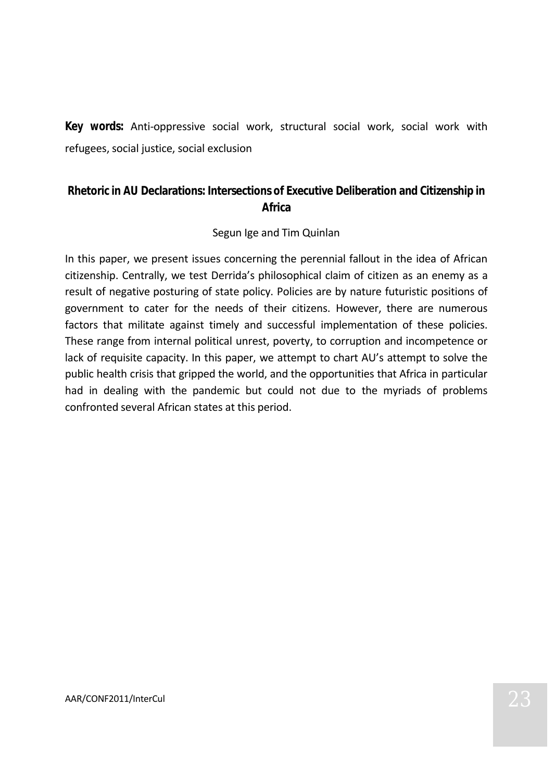**Key words:** Anti-oppressive social work, structural social work, social work with refugees, social justice, social exclusion

# **Rhetoric in AU Declarations: Intersections of Executive Deliberation and Citizenship in Africa**

# Segun Ige and Tim Quinlan

In this paper, we present issues concerning the perennial fallout in the idea of African citizenship. Centrally, we test Derrida's philosophical claim of citizen as an enemy as a result of negative posturing of state policy. Policies are by nature futuristic positions of government to cater for the needs of their citizens. However, there are numerous factors that militate against timely and successful implementation of these policies. These range from internal political unrest, poverty, to corruption and incompetence or lack of requisite capacity. In this paper, we attempt to chart AU's attempt to solve the public health crisis that gripped the world, and the opportunities that Africa in particular had in dealing with the pandemic but could not due to the myriads of problems confronted several African states at this period.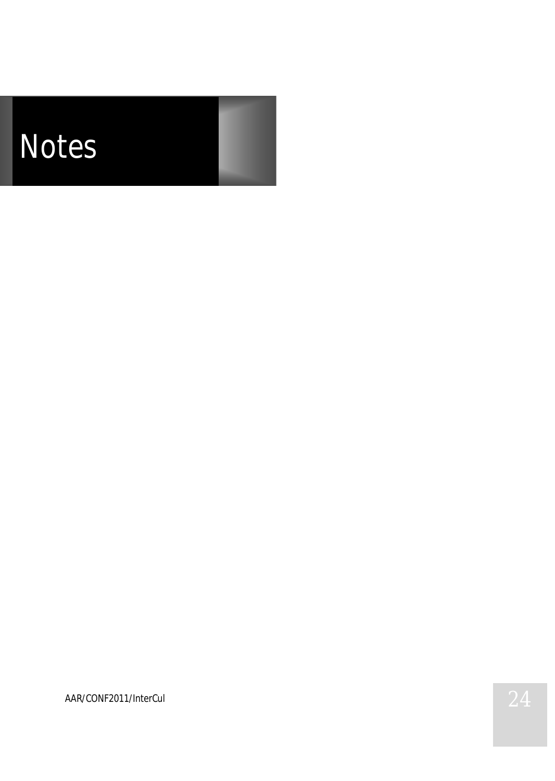*Notes*